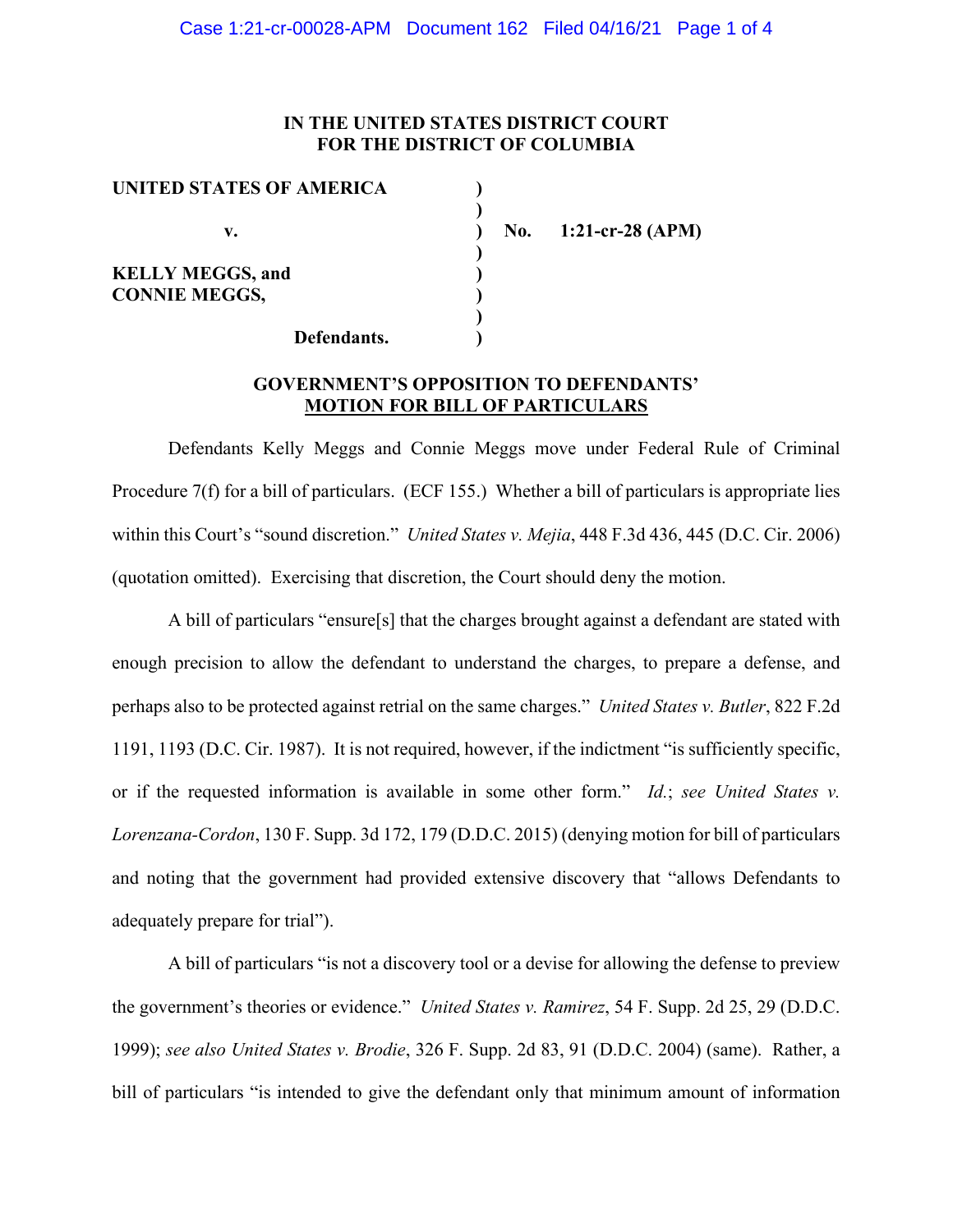## **IN THE UNITED STATES DISTRICT COURT FOR THE DISTRICT OF COLUMBIA**

| UNITED STATES OF AMERICA |  |
|--------------------------|--|
|                          |  |
| v.                       |  |
|                          |  |
| <b>KELLY MEGGS, and</b>  |  |
| <b>CONNIE MEGGS,</b>     |  |
|                          |  |
| Defendants.              |  |

**v. ) No. 1:21-cr-28 (APM)**

### **GOVERNMENT'S OPPOSITION TO DEFENDANTS' MOTION FOR BILL OF PARTICULARS**

Defendants Kelly Meggs and Connie Meggs move under Federal Rule of Criminal Procedure 7(f) for a bill of particulars. (ECF 155.) Whether a bill of particulars is appropriate lies within this Court's "sound discretion." *United States v. Mejia*, 448 F.3d 436, 445 (D.C. Cir. 2006) (quotation omitted). Exercising that discretion, the Court should deny the motion.

A bill of particulars "ensure[s] that the charges brought against a defendant are stated with enough precision to allow the defendant to understand the charges, to prepare a defense, and perhaps also to be protected against retrial on the same charges." *United States v. Butler*, 822 F.2d 1191, 1193 (D.C. Cir. 1987). It is not required, however, if the indictment "is sufficiently specific, or if the requested information is available in some other form." *Id.*; *see United States v. Lorenzana-Cordon*, 130 F. Supp. 3d 172, 179 (D.D.C. 2015) (denying motion for bill of particulars and noting that the government had provided extensive discovery that "allows Defendants to adequately prepare for trial").

A bill of particulars "is not a discovery tool or a devise for allowing the defense to preview the government's theories or evidence." *United States v. Ramirez*, 54 F. Supp. 2d 25, 29 (D.D.C. 1999); *see also United States v. Brodie*, 326 F. Supp. 2d 83, 91 (D.D.C. 2004) (same). Rather, a bill of particulars "is intended to give the defendant only that minimum amount of information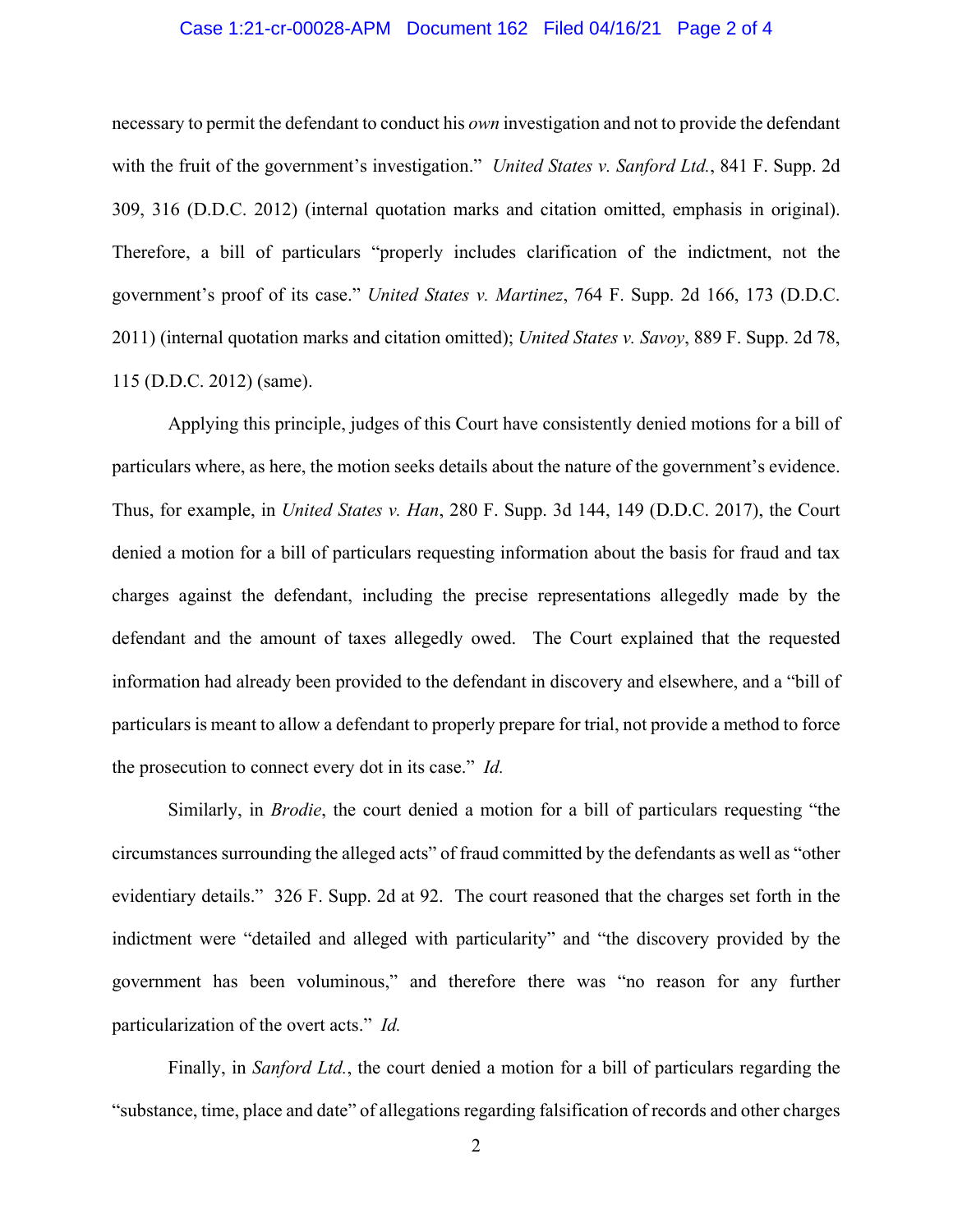#### Case 1:21-cr-00028-APM Document 162 Filed 04/16/21 Page 2 of 4

necessary to permit the defendant to conduct his *own* investigation and not to provide the defendant with the fruit of the government's investigation." *United States v. Sanford Ltd.*, 841 F. Supp. 2d 309, 316 (D.D.C. 2012) (internal quotation marks and citation omitted, emphasis in original). Therefore, a bill of particulars "properly includes clarification of the indictment, not the government's proof of its case." *United States v. Martinez*, 764 F. Supp. 2d 166, 173 (D.D.C. 2011) (internal quotation marks and citation omitted); *United States v. Savoy*, 889 F. Supp. 2d 78, 115 (D.D.C. 2012) (same).

Applying this principle, judges of this Court have consistently denied motions for a bill of particulars where, as here, the motion seeks details about the nature of the government's evidence. Thus, for example, in *United States v. Han*, 280 F. Supp. 3d 144, 149 (D.D.C. 2017), the Court denied a motion for a bill of particulars requesting information about the basis for fraud and tax charges against the defendant, including the precise representations allegedly made by the defendant and the amount of taxes allegedly owed. The Court explained that the requested information had already been provided to the defendant in discovery and elsewhere, and a "bill of particulars is meant to allow a defendant to properly prepare for trial, not provide a method to force the prosecution to connect every dot in its case." *Id.* 

Similarly, in *Brodie*, the court denied a motion for a bill of particulars requesting "the circumstances surrounding the alleged acts" of fraud committed by the defendants as well as "other evidentiary details." 326 F. Supp. 2d at 92. The court reasoned that the charges set forth in the indictment were "detailed and alleged with particularity" and "the discovery provided by the government has been voluminous," and therefore there was "no reason for any further particularization of the overt acts." *Id.* 

Finally, in *Sanford Ltd.*, the court denied a motion for a bill of particulars regarding the "substance, time, place and date" of allegations regarding falsification of records and other charges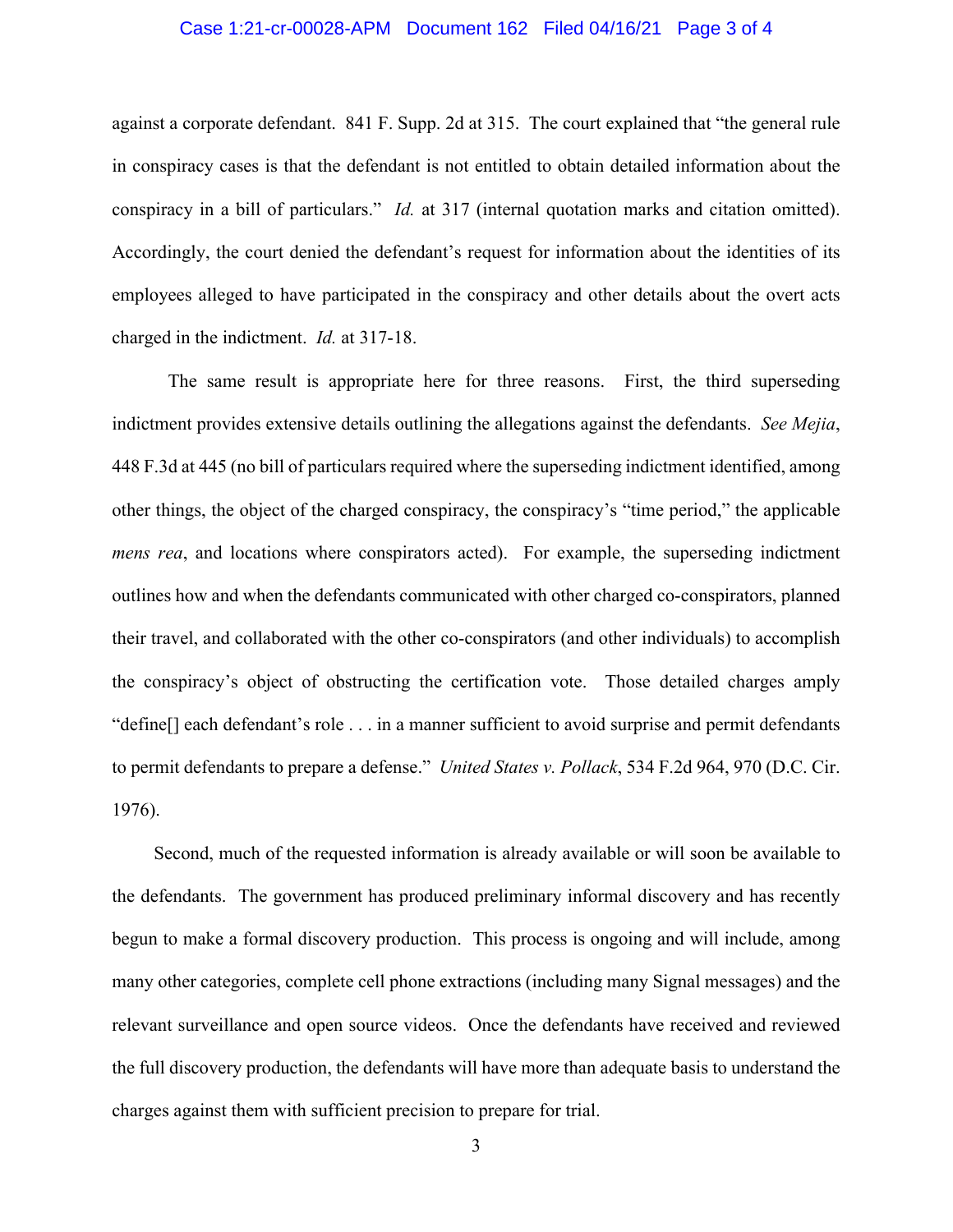#### Case 1:21-cr-00028-APM Document 162 Filed 04/16/21 Page 3 of 4

against a corporate defendant. 841 F. Supp. 2d at 315. The court explained that "the general rule in conspiracy cases is that the defendant is not entitled to obtain detailed information about the conspiracy in a bill of particulars." *Id.* at 317 (internal quotation marks and citation omitted). Accordingly, the court denied the defendant's request for information about the identities of its employees alleged to have participated in the conspiracy and other details about the overt acts charged in the indictment. *Id.* at 317-18.

The same result is appropriate here for three reasons. First, the third superseding indictment provides extensive details outlining the allegations against the defendants. *See Mejia*, 448 F.3d at 445 (no bill of particulars required where the superseding indictment identified, among other things, the object of the charged conspiracy, the conspiracy's "time period," the applicable *mens rea*, and locations where conspirators acted). For example, the superseding indictment outlines how and when the defendants communicated with other charged co-conspirators, planned their travel, and collaborated with the other co-conspirators (and other individuals) to accomplish the conspiracy's object of obstructing the certification vote. Those detailed charges amply "define[] each defendant's role . . . in a manner sufficient to avoid surprise and permit defendants to permit defendants to prepare a defense." *United States v. Pollack*, 534 F.2d 964, 970 (D.C. Cir. 1976).

 Second, much of the requested information is already available or will soon be available to the defendants. The government has produced preliminary informal discovery and has recently begun to make a formal discovery production. This process is ongoing and will include, among many other categories, complete cell phone extractions (including many Signal messages) and the relevant surveillance and open source videos. Once the defendants have received and reviewed the full discovery production, the defendants will have more than adequate basis to understand the charges against them with sufficient precision to prepare for trial.